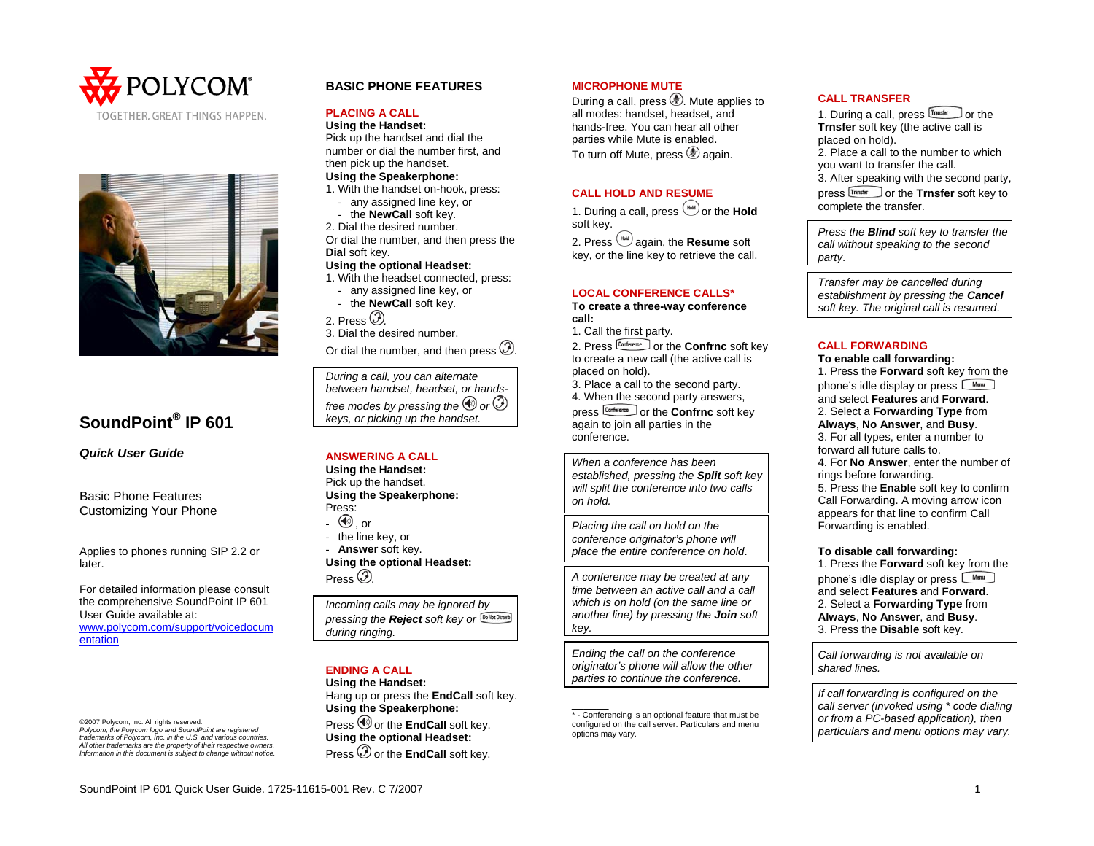



# **SoundPoint® IP 601**

*Quick User Guide* 

Basic Phone Features Customizing Your Phone

Applies to phones running SIP 2.2 or later.

For detailed information please consult the comprehensive SoundPoint IP 601 User Guide available at: [www.polycom.com/support/voicedocum](http://www.polycom.com/support/voicedocumentation) [entation](http://www.polycom.com/support/voicedocumentation)

©2007 Polycom, Inc. All rights reserved. *Polycom, the Polycom logo and SoundPoint are registered trademarks of Polycom, Inc. in the U.S. and various countries. All other trademarks are the property of their respective owners. Information in this document is subject to change without notice.*

# **BASIC PHONE FEATURES**

#### **PLACING A CALL**

**Using the Handset:**  Pick up the handset and dial the number or dial the number first, and then pick up the handset. **Using the Speakerphone:** 

# 1. With the handset on-hook, press:

any assigned line key, or

- the **NewCall** soft key.
- 2. Dial the desired number.

Or dial the number, and then press the **Dial** soft key.

### **Using the optional Headset:**

- 1. With the headset connected, press:
	- any assigned line key, or
	- the **NewCall** soft key.
- 2. Press *.*

3. Dial the desired number.

Or dial the number, and then press  $\mathcal{D}$ .

*During a call, you can alternate between handset, headset, or handsfree modes by pressing the*  $\bigcirc$  or  $\mathcal{D}$ *keys, or picking up the handset.* 

### **ANSWERING A CALL**

**Using the Handset:**  Pick up the handset. **Using the Speakerphone:**  Press:  $\textcircled{\tiny{\textcircled{\tiny 0}}}$  , or - the line key, or

- **Answer** soft key. **Using the optional Headset:**  Press  $\circledcirc$ 

| Incoming calls may be ignored by                 |
|--------------------------------------------------|
| pressing the Reject soft key or [Dellot Disturb] |
| during ringing.                                  |

# **ENDING A CALL**

**Using the Handset:**  Hang up or press the **EndCall** soft key. **Using the Speakerphone:**  Press  $\bigcirc$  or the **EndCall** soft key. **Using the optional Headset:**  Press  $\overline{\mathcal{O}}$  or the **EndCall** soft key.

#### **MICROPHONE MUTE**

During a call, press  $\mathcal{L}$ . Mute applies to all modes: handset, headset, and hands-free. You can hear all other parties while Mute is enabled. To turn off Mute, press  $\circledast$  again.

#### **CALL HOLD AND RESUME**

1. During a call, press  $^{(4)}$  or the **Hold** soft key. 2. Press  $^{(4)}$  again, the **Resume** soft

key, or the line key to retrieve the call.

#### **LOCAL CONFERENCE CALLS\***

**To create a three-way conference call:** 

1. Call the first party.

2. Press  $\frac{\text{Corrected}}{\text{Out} \cdot \text{C}}$  or the **Confrnc** soft key to create a new call (the active call is placed on hold).

3. Place a call to the second party. 4. When the second party answers, press **Conference** or the **Confrnc** soft key again to join all parties in the conference.

*When a conference has been established, pressing the Split soft key will split the conference into two calls on hold.* 

*Placing the call on hold on the conference originator's phone will place the entire conference on hold*.

*A conference may be created at any time between an active call and a call which is on hold (on the same line or another line) by pressing the Join soft key.* 

*Ending the call on the conference originator's phone will allow the other parties to continue the conference.* 

\* - Conferencing is an optional feature that must be configured on the call server. Particulars and menu options may vary.

#### **CALL TRANSFER**

1. During a call, press Transfer or the **Trnsfer** soft key (the active call is placed on hold). 2. Place a call to the number to which you want to transfer the call. 3. After speaking with the second party, press  $\boxed{\text{Transfer}}$  or the **Trnsfer** soft key to complete the transfer.

*Press the Blind soft key to transfer the call without speaking to the second party*.

*Transfer may be cancelled during establishment by pressing the Cancel soft key. The original call is resumed*.

#### **CALL FORWARDING**

**To enable call forwarding:** 1. Press the **Forward** soft key from the phone's idle display or press  $\Box$  Menu and select **Features** and **Forward**. 2. Select a **Forwarding Type** from **Always**, **No Answer**, and **Busy**. 3. For all types, enter a number to forward all future calls to. 4. For **No Answer**, enter the number of rings before forwarding. 5. Press the **Enable** soft key to confirm Call Forwarding. A moving arrow icon appears for that line to confirm Call Forwarding is enabled. **To disable call forwarding:** 

1. Press the **Forward** soft key from the phone's idle display or press **WHEND** and select **Features** and **Forward**. 2. Select a **Forwarding Type** from **Always**, **No Answer**, and **Busy**. 3. Press the **Disable** soft key.

*Call forwarding is not available on shared lines.* 

*If call forwarding is configured on the call server (invoked using \* code dialing or from a PC-based application), then particulars and menu options may vary.*